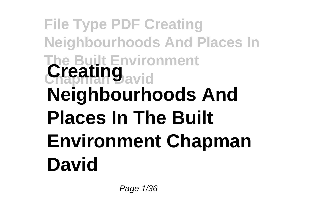# **File Type PDF Creating Neighbourhoods And Places In The Built Environment Creating**<sub>avid</sub> **Neighbourhoods And Places In The Built Environment Chapman David**

Page 1/36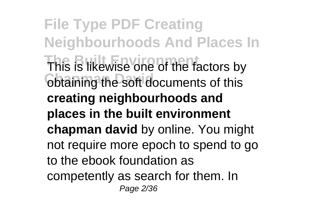**File Type PDF Creating Neighbourhoods And Places In** This is likewise one of the factors by obtaining the soft documents of this **creating neighbourhoods and places in the built environment chapman david** by online. You might not require more epoch to spend to go to the ebook foundation as competently as search for them. In Page 2/36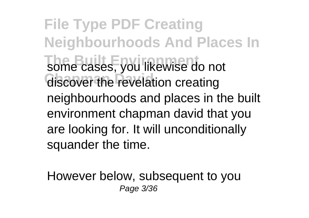**File Type PDF Creating Neighbourhoods And Places In** some cases, you likewise do not discover the revelation creating neighbourhoods and places in the built environment chapman david that you are looking for. It will unconditionally squander the time.

However below, subsequent to you Page 3/36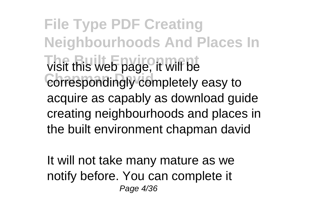**File Type PDF Creating Neighbourhoods And Places In That Built Web page, it will be** correspondingly completely easy to acquire as capably as download guide creating neighbourhoods and places in the built environment chapman david

It will not take many mature as we notify before. You can complete it Page 4/36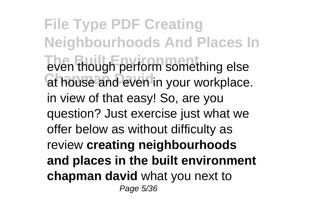**File Type PDF Creating Neighbourhoods And Places In The Built Environmental Environmental System** at house and even in your workplace. in view of that easy! So, are you question? Just exercise just what we offer below as without difficulty as review **creating neighbourhoods and places in the built environment chapman david** what you next to Page 5/36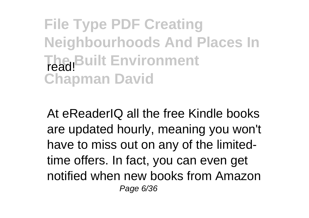**File Type PDF Creating Neighbourhoods And Places In** The Built Environment **Chapman David**

At eReaderIQ all the free Kindle books are updated hourly, meaning you won't have to miss out on any of the limitedtime offers. In fact, you can even get notified when new books from Amazon Page 6/36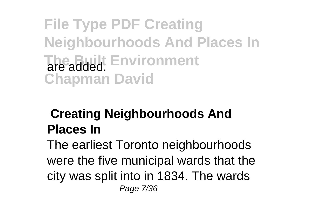**File Type PDF Creating Neighbourhoods And Places In The Built Environment Chapman David**

### **Creating Neighbourhoods And Places In**

The earliest Toronto neighbourhoods were the five municipal wards that the city was split into in 1834. The wards Page 7/36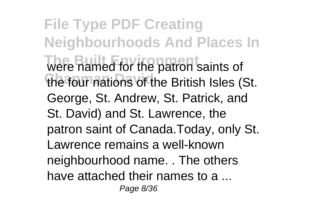**File Type PDF Creating Neighbourhoods And Places In The Bramed for the patron saints of** the four nations of the British Isles (St. George, St. Andrew, St. Patrick, and St. David) and St. Lawrence, the patron saint of Canada.Today, only St. Lawrence remains a well-known neighbourhood name. . The others have attached their names to a ... Page 8/36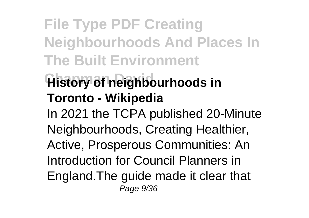**File Type PDF Creating Neighbourhoods And Places In The Built Environment**

### **History of neighbourhoods in Toronto - Wikipedia**

In 2021 the TCPA published 20-Minute Neighbourhoods, Creating Healthier, Active, Prosperous Communities: An Introduction for Council Planners in England.The guide made it clear that Page 9/36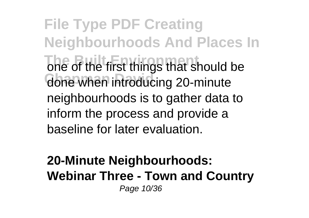**File Type PDF Creating Neighbourhoods And Places In** one of the first things that should be done when introducing 20-minute neighbourhoods is to gather data to inform the process and provide a baseline for later evaluation.

#### **20-Minute Neighbourhoods: Webinar Three - Town and Country** Page 10/36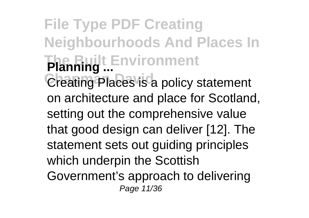**File Type PDF Creating Neighbourhoods And Places In The Built Environment Planning ...** Creating Places is a policy statement on architecture and place for Scotland, setting out the comprehensive value that good design can deliver [12]. The statement sets out guiding principles which underpin the Scottish Government's approach to delivering Page 11/36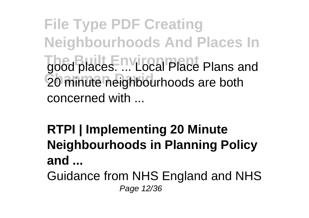**File Type PDF Creating Neighbourhoods And Places In The Built Environment** good places. ... Local Place Plans and 20 minute neighbourhoods are both concerned with ...

**RTPI | Implementing 20 Minute Neighbourhoods in Planning Policy and ...**

Guidance from NHS England and NHS Page 12/36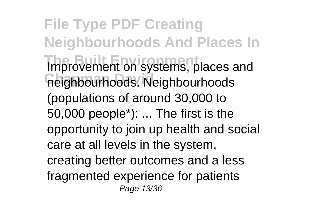**File Type PDF Creating Neighbourhoods And Places In Improvement on systems, places and Chapman David** neighbourhoods. Neighbourhoods (populations of around 30,000 to 50,000 people\*): ... The first is the opportunity to join up health and social care at all levels in the system, creating better outcomes and a less fragmented experience for patients Page 13/36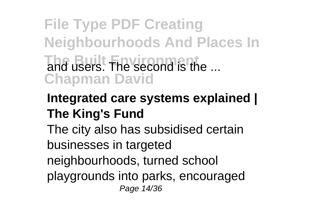## **File Type PDF Creating Neighbourhoods And Places In The Built The second is the ... Chapman David**

### **Integrated care systems explained | The King's Fund**

The city also has subsidised certain businesses in targeted neighbourhoods, turned school

playgrounds into parks, encouraged Page 14/36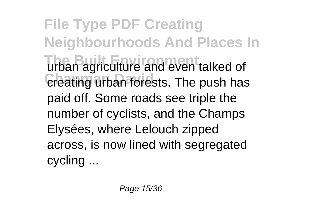**File Type PDF Creating Neighbourhoods And Places In** urban agriculture and even talked of creating urban forests. The push has paid off. Some roads see triple the number of cyclists, and the Champs Elysées, where Lelouch zipped across, is now lined with segregated cycling ...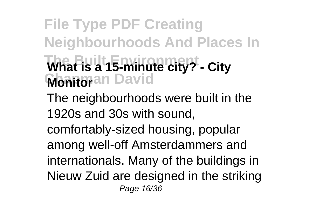## **File Type PDF Creating Neighbourhoods And Places In The Built Environment What is a 15-minute city? - City Monitoran David** The neighbourhoods were built in the 1920s and 30s with sound,

comfortably-sized housing, popular among well-off Amsterdammers and internationals. Many of the buildings in Nieuw Zuid are designed in the striking Page 16/36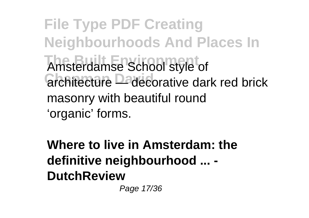**File Type PDF Creating Neighbourhoods And Places In The Built Environment** Amsterdamse School style of architecture <sup>D</sup>ecorative dark red brick masonry with beautiful round 'organic' forms.

**Where to live in Amsterdam: the definitive neighbourhood ... - DutchReview**

Page 17/36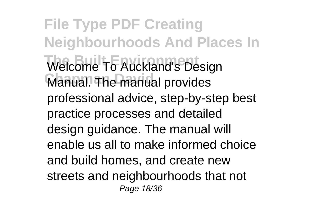**File Type PDF Creating Neighbourhoods And Places In** Welcome To Auckland's Design Manual. The manual provides professional advice, step-by-step best practice processes and detailed design guidance. The manual will enable us all to make informed choice and build homes, and create new streets and neighbourhoods that not Page 18/36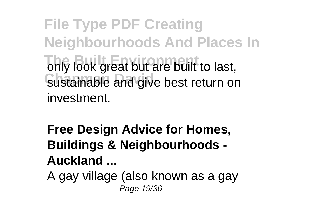**File Type PDF Creating Neighbourhoods And Places In** only look great but are built to last, sustainable and give best return on investment.

**Free Design Advice for Homes, Buildings & Neighbourhoods - Auckland ...**

A gay village (also known as a gay Page 19/36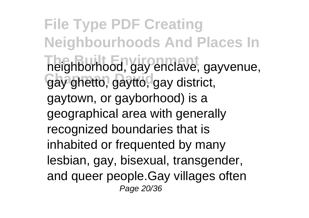**File Type PDF Creating Neighbourhoods And Places In** The Built Environment Charles of the Built Prentice, a system gay ghetto, gaytto, gay district, gaytown, or gayborhood) is a geographical area with generally recognized boundaries that is inhabited or frequented by many lesbian, gay, bisexual, transgender, and queer people.Gay villages often Page 20/36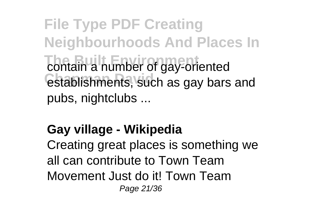**File Type PDF Creating Neighbourhoods And Places In** contain a number of gay-oriented establishments, such as gay bars and pubs, nightclubs ...

### **Gay village - Wikipedia**

Creating great places is something we all can contribute to Town Team Movement Just do it! Town Team Page 21/36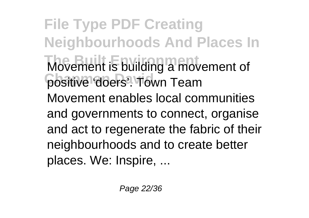**File Type PDF Creating Neighbourhoods And Places In Movement is building a movement of** positive 'doers'. Town Team Movement enables local communities and governments to connect, organise and act to regenerate the fabric of their neighbourhoods and to create better places. We: Inspire, ...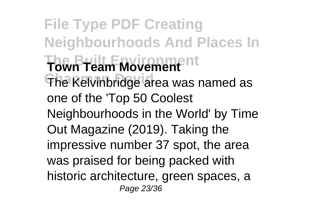**File Type PDF Creating Neighbourhoods And Places In The Built Environment Town Team Movement** The Kelvinbridge area was named as one of the 'Top 50 Coolest Neighbourhoods in the World' by Time Out Magazine (2019). Taking the impressive number 37 spot, the area was praised for being packed with historic architecture, green spaces, a Page 23/36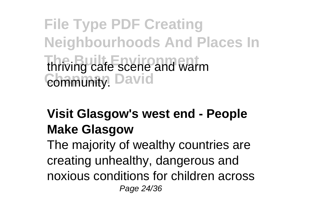**File Type PDF Creating Neighbourhoods And Places In thriving cafe scene and warm Community.** David

### **Visit Glasgow's west end - People Make Glasgow**

The majority of wealthy countries are creating unhealthy, dangerous and noxious conditions for children across Page 24/36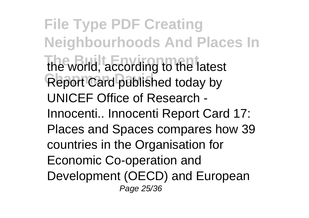**File Type PDF Creating Neighbourhoods And Places In** the world, according to the latest **Report Card published today by** UNICEF Office of Research - Innocenti.. Innocenti Report Card 17: Places and Spaces compares how 39 countries in the Organisation for Economic Co-operation and Development (OECD) and European Page 25/36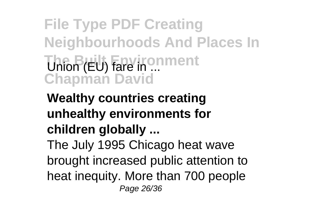**File Type PDF Creating Neighbourhoods And Places In Union (EU) Fare in ... Chapman David**

**Wealthy countries creating unhealthy environments for children globally ...** The July 1995 Chicago heat wave brought increased public attention to heat inequity. More than 700 people Page 26/36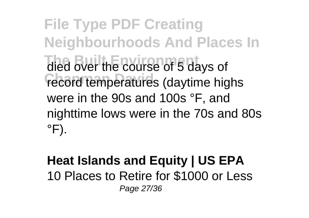**File Type PDF Creating Neighbourhoods And Places In** died over the course of 5 days of record temperatures (daytime highs were in the 90s and 100s °F, and nighttime lows were in the 70s and 80s  $\degree$ F).

#### **Heat Islands and Equity | US EPA** 10 Places to Retire for \$1000 or Less Page 27/36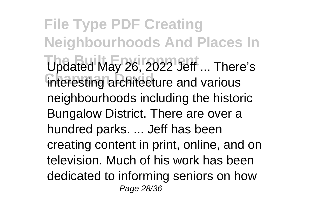**File Type PDF Creating Neighbourhoods And Places In** Updated May 26, 2022 Jeff ... There's interesting architecture and various neighbourhoods including the historic Bungalow District. There are over a hundred parks. ... Jeff has been creating content in print, online, and on television. Much of his work has been dedicated to informing seniors on how Page 28/36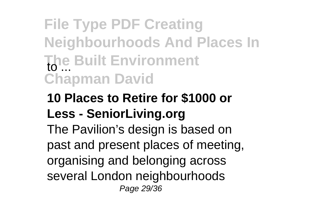## **File Type PDF Creating Neighbourhoods And Places In The Built Environment** to ... **Chapman David**

### **10 Places to Retire for \$1000 or Less - SeniorLiving.org**

The Pavilion's design is based on past and present places of meeting, organising and belonging across several London neighbourhoods Page 29/36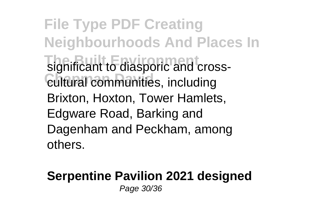**File Type PDF Creating Neighbourhoods And Places In** significant to diasporic and cross- $\epsilon$ ultural communities, including Brixton, Hoxton, Tower Hamlets, Edgware Road, Barking and Dagenham and Peckham, among others.

#### **Serpentine Pavilion 2021 designed** Page 30/36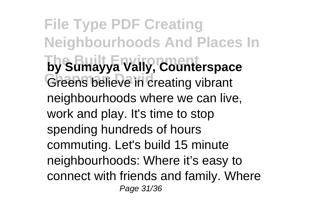**File Type PDF Creating Neighbourhoods And Places In by Sumayya Vally, Counterspace** Greens believe in creating vibrant neighbourhoods where we can live, work and play. It's time to stop spending hundreds of hours commuting. Let's build 15 minute neighbourhoods: Where it's easy to connect with friends and family. Where Page 31/36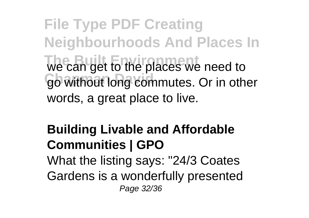**File Type PDF Creating Neighbourhoods And Places In** we can get to the places we need to go without long commutes. Or in other words, a great place to live.

### **Building Livable and Affordable Communities | GPO**

What the listing says: "24/3 Coates Gardens is a wonderfully presented Page 32/36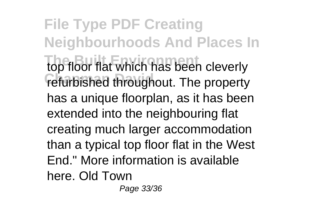**File Type PDF Creating Neighbourhoods And Places In** top floor flat which has been cleverly refurbished throughout. The property has a unique floorplan, as it has been extended into the neighbouring flat creating much larger accommodation than a typical top floor flat in the West End." More information is available here. Old Town

Page 33/36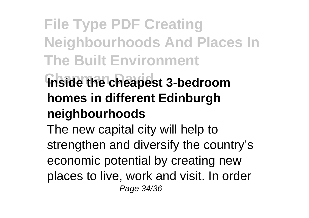## **File Type PDF Creating Neighbourhoods And Places In The Built Environment**

## **Inside the cheapest 3-bedroom homes in different Edinburgh neighbourhoods**

The new capital city will help to strengthen and diversify the country's economic potential by creating new places to live, work and visit. In order Page 34/36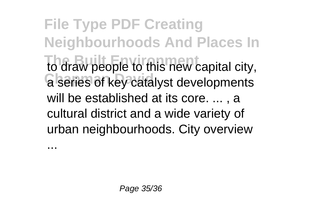**File Type PDF Creating Neighbourhoods And Places In The Built Environment** to draw people to this new capital city, a series of key catalyst developments will be established at its core. ... , a cultural district and a wide variety of urban neighbourhoods. City overview

...